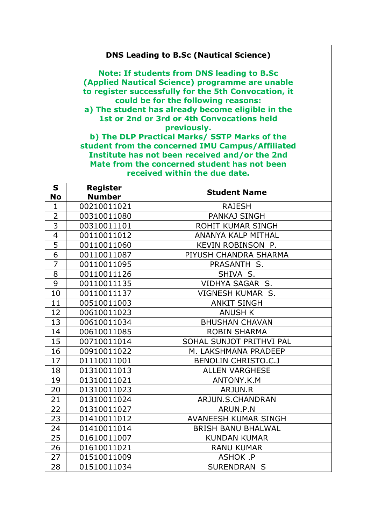## **DNS Leading to B.Sc (Nautical Science)**

**Note: If students from DNS leading to B.Sc (Applied Nautical Science) programme are unable to register successfully for the 5th Convocation, it could be for the following reasons:**

**a) The student has already become eligible in the 1st or 2nd or 3rd or 4th Convocations held previously.**

**b) The DLP Practical Marks/ SSTP Marks of the student from the concerned IMU Campus/Affiliated Institute has not been received and/or the 2nd Mate from the concerned student has not been received within the due date.** 

| S              | Register      |                             |
|----------------|---------------|-----------------------------|
| <b>No</b>      | <b>Number</b> | <b>Student Name</b>         |
| $\mathbf{1}$   | 00210011021   | <b>RAJESH</b>               |
| $\overline{2}$ | 00310011080   | <b>PANKAJ SINGH</b>         |
| $\overline{3}$ | 00310011101   | ROHIT KUMAR SINGH           |
| $\overline{4}$ | 00110011012   | <b>ANANYA KALP MITHAL</b>   |
| 5              | 00110011060   | KEVIN ROBINSON P.           |
| $\overline{6}$ | 00110011087   | PIYUSH CHANDRA SHARMA       |
| $\overline{7}$ | 00110011095   | PRASANTH S.                 |
| 8              | 00110011126   | SHIVA S.                    |
| 9              | 00110011135   | VIDHYA SAGAR S.             |
| 10             | 00110011137   | VIGNESH KUMAR S.            |
| 11             | 00510011003   | <b>ANKIT SINGH</b>          |
| 12             | 00610011023   | <b>ANUSH K</b>              |
| 13             | 00610011034   | <b>BHUSHAN CHAVAN</b>       |
| 14             | 00610011085   | <b>ROBIN SHARMA</b>         |
| 15             | 00710011014   | SOHAL SUNJOT PRITHVI PAL    |
| 16             | 00910011022   | M. LAKSHMANA PRADEEP        |
| 17             | 01110011001   | <b>BENOLIN CHRISTO.C.J</b>  |
| 18             | 01310011013   | <b>ALLEN VARGHESE</b>       |
| 19             | 01310011021   | ANTONY.K.M                  |
| 20             | 01310011023   | ARJUN.R                     |
| 21             | 01310011024   | ARJUN.S.CHANDRAN            |
| 22             | 01310011027   | ARUN.P.N                    |
| 23             | 01410011012   | <b>AVANEESH KUMAR SINGH</b> |
| 24             | 01410011014   | <b>BRISH BANU BHALWAL</b>   |
| 25             | 01610011007   | <b>KUNDAN KUMAR</b>         |
| 26             | 01610011021   | <b>RANU KUMAR</b>           |
| 27             | 01510011009   | ASHOK .P                    |
| 28             | 01510011034   | <b>SURENDRAN S</b>          |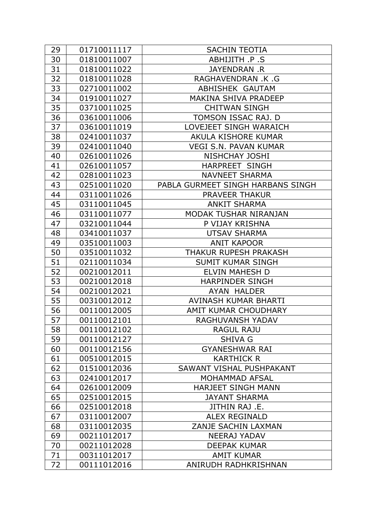| 29 | 01710011117 | <b>SACHIN TEOTIA</b>              |
|----|-------------|-----------------------------------|
| 30 | 01810011007 | ABHIJITH .P .S                    |
| 31 | 01810011022 | JAYENDRAN .R                      |
| 32 | 01810011028 | RAGHAVENDRAN .K .G                |
| 33 | 02710011002 | ABHISHEK GAUTAM                   |
| 34 | 01910011027 | <b>MAKINA SHIVA PRADEEP</b>       |
| 35 | 03710011025 | <b>CHITWAN SINGH</b>              |
| 36 | 03610011006 | TOMSON ISSAC RAJ. D               |
| 37 | 03610011019 | LOVEJEET SINGH WARAICH            |
| 38 | 02410011037 | AKULA KISHORE KUMAR               |
| 39 | 02410011040 | <b>VEGI S.N. PAVAN KUMAR</b>      |
| 40 | 02610011026 | <b>NISHCHAY JOSHI</b>             |
| 41 | 02610011057 | <b>HARPREET SINGH</b>             |
| 42 | 02810011023 | <b>NAVNEET SHARMA</b>             |
| 43 | 02510011020 | PABLA GURMEET SINGH HARBANS SINGH |
| 44 | 03110011026 | <b>PRAVEER THAKUR</b>             |
| 45 | 03110011045 | <b>ANKIT SHARMA</b>               |
| 46 | 03110011077 | MODAK TUSHAR NIRANJAN             |
| 47 | 03210011044 | P VIJAY KRISHNA                   |
| 48 | 03410011037 | <b>UTSAV SHARMA</b>               |
| 49 | 03510011003 | <b>ANIT KAPOOR</b>                |
| 50 | 03510011032 | THAKUR RUPESH PRAKASH             |
| 51 | 02110011034 | <b>SUMIT KUMAR SINGH</b>          |
| 52 | 00210012011 | <b>ELVIN MAHESH D</b>             |
| 53 | 00210012018 | <b>HARPINDER SINGH</b>            |
| 54 | 00210012021 | AYAN HALDER                       |
| 55 | 00310012012 | AVINASH KUMAR BHARTI              |
| 56 | 00110012005 | AMIT KUMAR CHOUDHARY              |
| 57 | 00110012101 | <b>RAGHUVANSH YADAV</b>           |
| 58 | 00110012102 | <b>RAGUL RAJU</b>                 |
| 59 | 00110012127 | <b>SHIVA G</b>                    |
| 60 | 00110012156 | <b>GYANESHWAR RAI</b>             |
| 61 | 00510012015 | <b>KARTHICK R</b>                 |
| 62 | 01510012036 | SAWANT VISHAL PUSHPAKANT          |
| 63 | 02410012017 | <b>MOHAMMAD AFSAL</b>             |
| 64 | 02610012009 | <b>HARJEET SINGH MANN</b>         |
| 65 | 02510012015 | <b>JAYANT SHARMA</b>              |
| 66 | 02510012018 | JITHIN RAJ .E.                    |
| 67 | 03110012007 | <b>ALEX REGINALD</b>              |
| 68 | 03110012035 | ZANJE SACHIN LAXMAN               |
| 69 | 00211012017 | <b>NEERAJ YADAV</b>               |
| 70 | 00211012028 | <b>DEEPAK KUMAR</b>               |
| 71 | 00311012017 | <b>AMIT KUMAR</b>                 |
| 72 | 00111012016 | ANIRUDH RADHKRISHNAN              |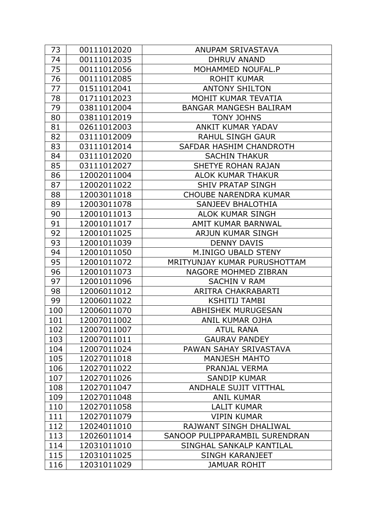| 73  | 00111012020 | ANUPAM SRIVASTAVA              |
|-----|-------------|--------------------------------|
| 74  | 00111012035 | <b>DHRUV ANAND</b>             |
| 75  | 00111012056 | MOHAMMED NOUFAL.P              |
| 76  | 00111012085 | <b>ROHIT KUMAR</b>             |
| 77  | 01511012041 | <b>ANTONY SHILTON</b>          |
| 78  | 01711012023 | MOHIT KUMAR TEVATIA            |
| 79  | 03811012004 | <b>BANGAR MANGESH BALIRAM</b>  |
| 80  | 03811012019 | <b>TONY JOHNS</b>              |
| 81  | 02611012003 | <b>ANKIT KUMAR YADAV</b>       |
| 82  | 03111012009 | <b>RAHUL SINGH GAUR</b>        |
| 83  | 03111012014 | SAFDAR HASHIM CHANDROTH        |
| 84  | 03111012020 | <b>SACHIN THAKUR</b>           |
| 85  | 03111012027 | <b>SHETYE ROHAN RAJAN</b>      |
| 86  | 12002011004 | <b>ALOK KUMAR THAKUR</b>       |
| 87  | 12002011022 | <b>SHIV PRATAP SINGH</b>       |
| 88  | 12003011018 | <b>CHOUBE NARENDRA KUMAR</b>   |
| 89  | 12003011078 | <b>SANJEEV BHALOTHIA</b>       |
| 90  | 12001011013 | <b>ALOK KUMAR SINGH</b>        |
| 91  | 12001011017 | AMIT KUMAR BARNWAL             |
| 92  | 12001011025 | <b>ARJUN KUMAR SINGH</b>       |
| 93  | 12001011039 | <b>DENNY DAVIS</b>             |
| 94  | 12001011050 | M.INIGO UBALD STENY            |
| 95  | 12001011072 | MRITYUNJAY KUMAR PURUSHOTTAM   |
| 96  | 12001011073 | <b>NAGORE MOHMED ZIBRAN</b>    |
| 97  | 12001011096 | <b>SACHIN V RAM</b>            |
| 98  | 12006011012 | ARITRA CHAKRABARTI             |
| 99  | 12006011022 | KSHITIJ TAMBI                  |
| 100 | 12006011070 | <b>ABHISHEK MURUGESAN</b>      |
| 101 | 12007011002 | <b>ANIL KUMAR OJHA</b>         |
| 102 | 12007011007 | <b>ATUL RANA</b>               |
| 103 | 12007011011 | <b>GAURAV PANDEY</b>           |
| 104 | 12007011024 | PAWAN SAHAY SRIVASTAVA         |
| 105 | 12027011018 | <b>MANJESH MAHTO</b>           |
| 106 | 12027011022 | PRANJAL VERMA                  |
| 107 | 12027011026 | <b>SANDIP KUMAR</b>            |
| 108 | 12027011047 | <b>ANDHALE SUJIT VITTHAL</b>   |
| 109 | 12027011048 | <b>ANIL KUMAR</b>              |
| 110 | 12027011058 | <b>LALIT KUMAR</b>             |
| 111 | 12027011079 | <b>VIPIN KUMAR</b>             |
| 112 | 12024011010 | RAJWANT SINGH DHALIWAL         |
| 113 | 12026011014 | SANOOP PULIPPARAMBIL SURENDRAN |
| 114 | 12031011010 | SINGHAL SANKALP KANTILAL       |
| 115 | 12031011025 | <b>SINGH KARANJEET</b>         |
| 116 | 12031011029 | <b>JAMUAR ROHIT</b>            |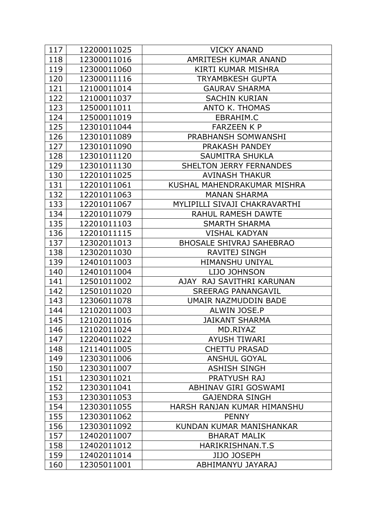| 117 | 12200011025 | <b>VICKY ANAND</b>              |
|-----|-------------|---------------------------------|
| 118 | 12300011016 | AMRITESH KUMAR ANAND            |
| 119 | 12300011060 | KIRTI KUMAR MISHRA              |
| 120 | 12300011116 | TRYAMBKESH GUPTA                |
| 121 | 12100011014 | <b>GAURAV SHARMA</b>            |
| 122 | 12100011037 | <b>SACHIN KURIAN</b>            |
| 123 | 12500011011 | <b>ANTO K. THOMAS</b>           |
| 124 | 12500011019 | EBRAHIM.C                       |
| 125 | 12301011044 | <b>FARZEEN K P</b>              |
| 126 | 12301011089 | PRABHANSH SOMWANSHI             |
| 127 | 12301011090 | PRAKASH PANDEY                  |
| 128 | 12301011120 | <b>SAUMITRA SHUKLA</b>          |
| 129 | 12301011130 | <b>SHELTON JERRY FERNANDES</b>  |
| 130 | 12201011025 | <b>AVINASH THAKUR</b>           |
| 131 | 12201011061 | KUSHAL MAHENDRAKUMAR MISHRA     |
| 132 | 12201011063 | <b>MANAN SHARMA</b>             |
| 133 | 12201011067 | MYLIPILLI SIVAJI CHAKRAVARTHI   |
| 134 | 12201011079 | <b>RAHUL RAMESH DAWTE</b>       |
| 135 | 12201011103 | <b>SMARTH SHARMA</b>            |
| 136 | 12201011115 | <b>VISHAL KADYAN</b>            |
| 137 | 12302011013 | <b>BHOSALE SHIVRAJ SAHEBRAO</b> |
| 138 | 12302011030 | <b>RAVITEJ SINGH</b>            |
| 139 | 12401011003 | <b>HIMANSHU UNIYAL</b>          |
| 140 | 12401011004 | LIJO JOHNSON                    |
| 141 | 12501011002 | AJAY RAJ SAVITHRI KARUNAN       |
| 142 | 12501011020 | <b>SREERAG PANANGAVIL</b>       |
| 143 | 12306011078 | UMAIR NAZMUDDIN BADE            |
| 144 | 12102011003 | ALWIN JOSE.P                    |
| 145 | 12102011016 | <b>JAIKANT SHARMA</b>           |
| 146 | 12102011024 | MD.RIYAZ                        |
| 147 | 12204011022 | <b>AYUSH TIWARI</b>             |
| 148 | 12114011005 | <b>CHETTU PRASAD</b>            |
| 149 | 12303011006 | <b>ANSHUL GOYAL</b>             |
| 150 | 12303011007 | <b>ASHISH SINGH</b>             |
| 151 | 12303011021 | <b>PRATYUSH RAJ</b>             |
| 152 | 12303011041 | <b>ABHINAV GIRI GOSWAMI</b>     |
| 153 | 12303011053 | <b>GAJENDRA SINGH</b>           |
| 154 | 12303011055 | HARSH RANJAN KUMAR HIMANSHU     |
| 155 | 12303011062 | <b>PENNY</b>                    |
| 156 | 12303011092 | KUNDAN KUMAR MANISHANKAR        |
| 157 | 12402011007 | <b>BHARAT MALIK</b>             |
| 158 | 12402011012 | HARIKRISHNAN.T.S                |
| 159 | 12402011014 | <b>JIJO JOSEPH</b>              |
| 160 | 12305011001 | ABHIMANYU JAYARAJ               |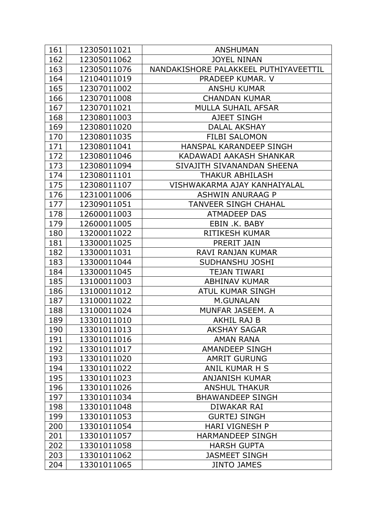| 161 | 12305011021 | <b>ANSHUMAN</b>                       |
|-----|-------------|---------------------------------------|
| 162 | 12305011062 | <b>JOYEL NINAN</b>                    |
| 163 | 12305011076 | NANDAKISHORE PALAKKEEL PUTHIYAVEETTIL |
| 164 | 12104011019 | PRADEEP KUMAR. V                      |
| 165 | 12307011002 | <b>ANSHU KUMAR</b>                    |
| 166 | 12307011008 | <b>CHANDAN KUMAR</b>                  |
| 167 | 12307011021 | <b>MULLA SUHAIL AFSAR</b>             |
| 168 | 12308011003 | <b>AJEET SINGH</b>                    |
| 169 | 12308011020 | <b>DALAL AKSHAY</b>                   |
| 170 | 12308011035 | <b>FILBI SALOMON</b>                  |
| 171 | 12308011041 | HANSPAL KARANDEEP SINGH               |
| 172 | 12308011046 | KADAWADI AAKASH SHANKAR               |
| 173 | 12308011094 | SIVAJITH SIVANANDAN SHEENA            |
| 174 | 12308011101 | <b>THAKUR ABHILASH</b>                |
| 175 | 12308011107 | VISHWAKARMA AJAY KANHAIYALAL          |
| 176 | 12310011006 | <b>ASHWIN ANURAAG P</b>               |
| 177 | 12309011051 | TANVEER SINGH CHAHAL                  |
| 178 | 12600011003 | <b>ATMADEEP DAS</b>                   |
| 179 | 12600011005 | EBIN .K. BABY                         |
| 180 | 13200011022 | <b>RITIKESH KUMAR</b>                 |
| 181 | 13300011025 | PRERIT JAIN                           |
| 182 | 13300011031 | RAVI RANJAN KUMAR                     |
| 183 | 13300011044 | SUDHANSHU JOSHI                       |
| 184 | 13300011045 | <b>TEJAN TIWARI</b>                   |
| 185 | 13100011003 | <b>ABHINAV KUMAR</b>                  |
| 186 | 13100011012 | <b>ATUL KUMAR SINGH</b>               |
| 187 | 13100011022 | M.GUNALAN                             |
| 188 | 13100011024 | MUNFAR JASEEM. A                      |
| 189 | 13301011010 | <b>AKHIL RAJ B</b>                    |
| 190 | 13301011013 | <b>AKSHAY SAGAR</b>                   |
| 191 | 13301011016 | <b>AMAN RANA</b>                      |
| 192 | 13301011017 | <b>AMANDEEP SINGH</b>                 |
| 193 | 13301011020 | <b>AMRIT GURUNG</b>                   |
| 194 | 13301011022 | ANIL KUMAR H S                        |
| 195 | 13301011023 | <b>ANJANISH KUMAR</b>                 |
| 196 | 13301011026 | <b>ANSHUL THAKUR</b>                  |
| 197 | 13301011034 | <b>BHAWANDEEP SINGH</b>               |
| 198 | 13301011048 | DIWAKAR RAI                           |
| 199 | 13301011053 | <b>GURTEJ SINGH</b>                   |
| 200 | 13301011054 | <b>HARI VIGNESH P</b>                 |
| 201 | 13301011057 | <b>HARMANDEEP SINGH</b>               |
| 202 | 13301011058 | <b>HARSH GUPTA</b>                    |
| 203 | 13301011062 | <b>JASMEET SINGH</b>                  |
| 204 | 13301011065 | <b>JINTO JAMES</b>                    |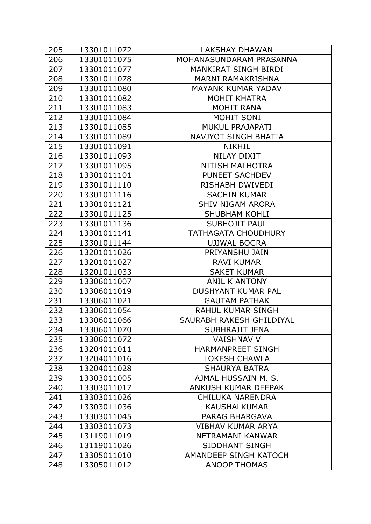| 205 | 13301011072 | <b>LAKSHAY DHAWAN</b>        |
|-----|-------------|------------------------------|
| 206 | 13301011075 | MOHANASUNDARAM PRASANNA      |
| 207 | 13301011077 | <b>MANKIRAT SINGH BIRDI</b>  |
| 208 | 13301011078 | <b>MARNI RAMAKRISHNA</b>     |
| 209 | 13301011080 | <b>MAYANK KUMAR YADAV</b>    |
| 210 | 13301011082 | <b>MOHIT KHATRA</b>          |
| 211 | 13301011083 | <b>MOHIT RANA</b>            |
| 212 | 13301011084 | MOHIT SONI                   |
| 213 | 13301011085 | <b>MUKUL PRAJAPATI</b>       |
| 214 | 13301011089 | <b>NAVJYOT SINGH BHATIA</b>  |
| 215 | 13301011091 | <b>NIKHIL</b>                |
| 216 | 13301011093 | <b>NILAY DIXIT</b>           |
| 217 | 13301011095 | <b>NITISH MALHOTRA</b>       |
| 218 | 13301011101 | PUNEET SACHDEV               |
| 219 | 13301011110 | RISHABH DWIVEDI              |
| 220 | 13301011116 | <b>SACHIN KUMAR</b>          |
| 221 | 13301011121 | <b>SHIV NIGAM ARORA</b>      |
| 222 | 13301011125 | <b>SHUBHAM KOHLI</b>         |
| 223 | 13301011136 | <b>SUBHOJIT PAUL</b>         |
| 224 | 13301011141 | <b>TATHAGATA CHOUDHURY</b>   |
| 225 | 13301011144 | UJJWAL BOGRA                 |
| 226 | 13201011026 | PRIYANSHU JAIN               |
| 227 | 13201011027 | <b>RAVI KUMAR</b>            |
| 228 | 13201011033 | <b>SAKET KUMAR</b>           |
| 229 | 13306011007 | <b>ANIL K ANTONY</b>         |
| 230 | 13306011019 | <b>DUSHYANT KUMAR PAL</b>    |
| 231 | 13306011021 | <b>GAUTAM PATHAK</b>         |
| 232 | 13306011054 | RAHUL KUMAR SINGH            |
| 233 | 13306011066 | SAURABH RAKESH GHILDIYAL     |
| 234 | 13306011070 | <b>SUBHRAJIT JENA</b>        |
| 235 | 13306011072 | <b>VAISHNAV V</b>            |
| 236 | 13204011011 | <b>HARMANPREET SINGH</b>     |
| 237 | 13204011016 | <b>LOKESH CHAWLA</b>         |
| 238 | 13204011028 | <b>SHAURYA BATRA</b>         |
| 239 | 13303011005 | AJMAL HUSSAIN M. S.          |
| 240 | 13303011017 | <b>ANKUSH KUMAR DEEPAK</b>   |
| 241 | 13303011026 | <b>CHILUKA NARENDRA</b>      |
| 242 | 13303011036 | <b>KAUSHALKUMAR</b>          |
| 243 | 13303011045 | PARAG BHARGAVA               |
| 244 | 13303011073 | VIBHAV KUMAR ARYA            |
| 245 | 13119011019 | NETRAMANI KANWAR             |
| 246 | 13119011026 | <b>SIDDHANT SINGH</b>        |
| 247 | 13305011010 | <b>AMANDEEP SINGH KATOCH</b> |
| 248 | 13305011012 | <b>ANOOP THOMAS</b>          |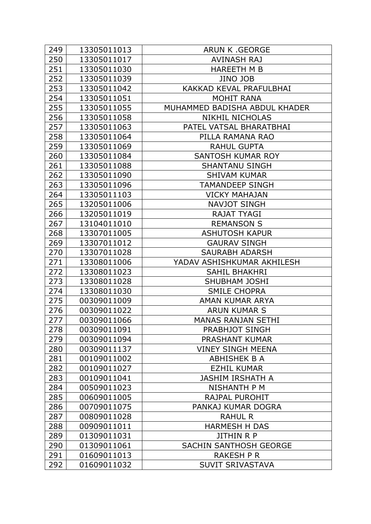| 249 | 13305011013 | <b>ARUN K .GEORGE</b>         |
|-----|-------------|-------------------------------|
| 250 | 13305011017 | <b>AVINASH RAJ</b>            |
| 251 | 13305011030 | <b>HAREETH M B</b>            |
| 252 | 13305011039 | <b>JINO JOB</b>               |
| 253 | 13305011042 | KAKKAD KEVAL PRAFULBHAI       |
| 254 | 13305011051 | <b>MOHIT RANA</b>             |
| 255 | 13305011055 | MUHAMMED BADISHA ABDUL KHADER |
| 256 | 13305011058 | <b>NIKHIL NICHOLAS</b>        |
| 257 | 13305011063 | PATEL VATSAL BHARATBHAI       |
| 258 | 13305011064 | PILLA RAMANA RAO              |
| 259 | 13305011069 | <b>RAHUL GUPTA</b>            |
| 260 | 13305011084 | <b>SANTOSH KUMAR ROY</b>      |
| 261 | 13305011088 | <b>SHANTANU SINGH</b>         |
| 262 | 13305011090 | <b>SHIVAM KUMAR</b>           |
| 263 | 13305011096 | <b>TAMANDEEP SINGH</b>        |
| 264 | 13305011103 | <b>VICKY MAHAJAN</b>          |
| 265 | 13205011006 | <b>NAVJOT SINGH</b>           |
| 266 | 13205011019 | <b>RAJAT TYAGI</b>            |
| 267 | 13104011010 | <b>REMANSON S</b>             |
| 268 | 13307011005 | <b>ASHUTOSH KAPUR</b>         |
| 269 | 13307011012 | <b>GAURAV SINGH</b>           |
| 270 | 13307011028 | <b>SAURABH ADARSH</b>         |
| 271 | 13308011006 | YADAV ASHISHKUMAR AKHILESH    |
| 272 | 13308011023 | <b>SAHIL BHAKHRI</b>          |
| 273 | 13308011028 | <b>SHUBHAM JOSHI</b>          |
| 274 | 13308011030 | <b>SMILE CHOPRA</b>           |
| 275 | 00309011009 | AMAN KUMAR ARYA               |
| 276 | 00309011022 | <b>ARUN KUMAR S</b>           |
| 277 | 00309011066 | <b>MANAS RANJAN SETHI</b>     |
| 278 | 00309011091 | <b>PRABHJOT SINGH</b>         |
| 279 | 00309011094 | <b>PRASHANT KUMAR</b>         |
| 280 | 00309011137 | <b>VINEY SINGH MEENA</b>      |
| 281 | 00109011002 | <b>ABHISHEK B A</b>           |
| 282 | 00109011027 | <b>EZHIL KUMAR</b>            |
| 283 | 00109011041 | <b>JASHIM IRSHATH A</b>       |
| 284 | 00509011023 | <b>NISHANTH P M</b>           |
| 285 | 00609011005 | RAJPAL PUROHIT                |
| 286 | 00709011075 | PANKAJ KUMAR DOGRA            |
| 287 | 00809011028 | <b>RAHUL R</b>                |
| 288 | 00909011011 | <b>HARMESH H DAS</b>          |
| 289 | 01309011031 | <b>JITHIN R P</b>             |
| 290 | 01309011061 | <b>SACHIN SANTHOSH GEORGE</b> |
| 291 | 01609011013 | <b>RAKESH P R</b>             |
| 292 | 01609011032 | <b>SUVIT SRIVASTAVA</b>       |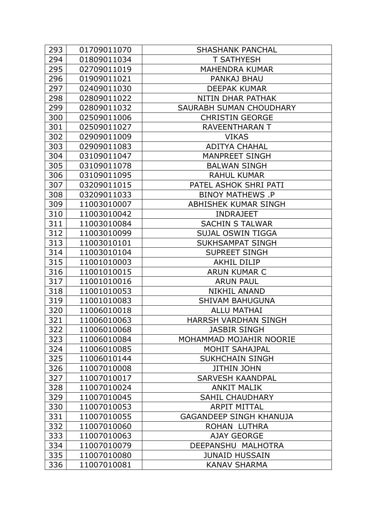| 293 | 01709011070 | <b>SHASHANK PANCHAL</b>        |
|-----|-------------|--------------------------------|
| 294 | 01809011034 | <b>T SATHYESH</b>              |
| 295 | 02709011019 | <b>MAHENDRA KUMAR</b>          |
| 296 | 01909011021 | PANKAJ BHAU                    |
| 297 | 02409011030 | <b>DEEPAK KUMAR</b>            |
| 298 | 02809011022 | NITIN DHAR PATHAK              |
| 299 | 02809011032 | SAURABH SUMAN CHOUDHARY        |
| 300 | 02509011006 | <b>CHRISTIN GEORGE</b>         |
| 301 | 02509011027 | <b>RAVEENTHARAN T</b>          |
| 302 | 02909011009 | <b>VIKAS</b>                   |
| 303 | 02909011083 | <b>ADITYA CHAHAL</b>           |
| 304 | 03109011047 | <b>MANPREET SINGH</b>          |
| 305 | 03109011078 | <b>BALWAN SINGH</b>            |
| 306 | 03109011095 | <b>RAHUL KUMAR</b>             |
| 307 | 03209011015 | PATEL ASHOK SHRI PATI          |
| 308 | 03209011033 | <b>BINOY MATHEWS .P</b>        |
| 309 | 11003010007 | <b>ABHISHEK KUMAR SINGH</b>    |
| 310 | 11003010042 | <b>INDRAJEET</b>               |
| 311 | 11003010084 | <b>SACHIN S TALWAR</b>         |
| 312 | 11003010099 | <b>SUJAL OSWIN TIGGA</b>       |
| 313 | 11003010101 | <b>SUKHSAMPAT SINGH</b>        |
| 314 | 11003010104 | <b>SUPREET SINGH</b>           |
| 315 | 11001010003 | <b>AKHIL DILIP</b>             |
| 316 | 11001010015 | <b>ARUN KUMAR C</b>            |
| 317 | 11001010016 | <b>ARUN PAUL</b>               |
| 318 | 11001010053 | <b>NIKHIL ANAND</b>            |
| 319 | 11001010083 | <b>SHIVAM BAHUGUNA</b>         |
| 320 | 11006010018 | <b>ALLU MATHAI</b>             |
| 321 | 11006010063 | <b>HARRSH VARDHAN SINGH</b>    |
| 322 | 11006010068 | <b>JASBIR SINGH</b>            |
| 323 | 11006010084 | MOHAMMAD MOJAHIR NOORIE        |
| 324 | 11006010085 | <b>MOHIT SAHAJPAL</b>          |
| 325 | 11006010144 | <b>SUKHCHAIN SINGH</b>         |
| 326 | 11007010008 | <b>JITHIN JOHN</b>             |
| 327 | 11007010017 | <b>SARVESH KAANDPAL</b>        |
| 328 | 11007010024 | <b>ANKIT MALIK</b>             |
| 329 | 11007010045 | <b>SAHIL CHAUDHARY</b>         |
| 330 | 11007010053 | <b>ARPIT MITTAL</b>            |
| 331 | 11007010055 | <b>GAGANDEEP SINGH KHANUJA</b> |
| 332 | 11007010060 | ROHAN LUTHRA                   |
| 333 | 11007010063 | <b>AJAY GEORGE</b>             |
| 334 | 11007010079 | DEEPANSHU MALHOTRA             |
| 335 | 11007010080 | <b>JUNAID HUSSAIN</b>          |
| 336 | 11007010081 | <b>KANAV SHARMA</b>            |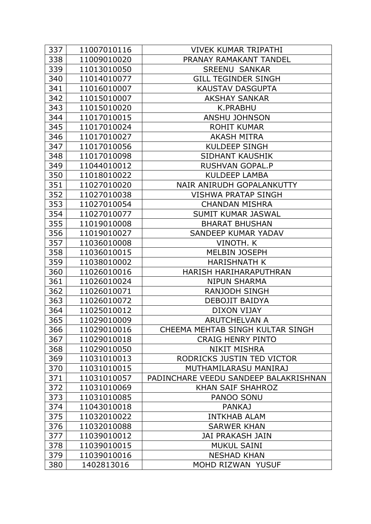| 337 | 11007010116 | <b>VIVEK KUMAR TRIPATHI</b>           |
|-----|-------------|---------------------------------------|
| 338 | 11009010020 | PRANAY RAMAKANT TANDEL                |
| 339 | 11013010050 | <b>SREENU SANKAR</b>                  |
| 340 | 11014010077 | <b>GILL TEGINDER SINGH</b>            |
| 341 | 11016010007 | <b>KAUSTAV DASGUPTA</b>               |
| 342 | 11015010007 | <b>AKSHAY SANKAR</b>                  |
| 343 | 11015010020 | <b>K.PRABHU</b>                       |
| 344 | 11017010015 | <b>ANSHU JOHNSON</b>                  |
| 345 | 11017010024 | <b>ROHIT KUMAR</b>                    |
| 346 | 11017010027 | <b>AKASH MITRA</b>                    |
| 347 | 11017010056 | <b>KULDEEP SINGH</b>                  |
| 348 | 11017010098 | <b>SIDHANT KAUSHIK</b>                |
| 349 | 11044010012 | <b>RUSHVAN GOPAL.P</b>                |
| 350 | 11018010022 | <b>KULDEEP LAMBA</b>                  |
| 351 | 11027010020 | NAIR ANIRUDH GOPALANKUTTY             |
| 352 | 11027010038 | <b>VISHWA PRATAP SINGH</b>            |
| 353 | 11027010054 | <b>CHANDAN MISHRA</b>                 |
| 354 | 11027010077 | <b>SUMIT KUMAR JASWAL</b>             |
| 355 | 11019010008 | <b>BHARAT BHUSHAN</b>                 |
| 356 | 11019010027 | SANDEEP KUMAR YADAV                   |
| 357 | 11036010008 | VINOTH. K                             |
| 358 | 11036010015 | MELBIN JOSEPH                         |
| 359 | 11038010002 | <b>HARISHNATH K</b>                   |
| 360 | 11026010016 | HARISH HARIHARAPUTHRAN                |
| 361 | 11026010024 | <b>NIPUN SHARMA</b>                   |
| 362 | 11026010071 | <b>RANJODH SINGH</b>                  |
| 363 | 11026010072 | DEBOJIT BAIDYA                        |
| 364 | 11025010012 | DIXON VIJAY                           |
| 365 | 11029010009 | <b>ARUTCHELVAN A</b>                  |
| 366 | 11029010016 | CHEEMA MEHTAB SINGH KULTAR SINGH      |
| 367 | 11029010018 | <b>CRAIG HENRY PINTO</b>              |
| 368 | 11029010050 | <b>NIKIT MISHRA</b>                   |
| 369 | 11031010013 | RODRICKS JUSTIN TED VICTOR            |
| 370 | 11031010015 | MUTHAMILARASU MANIRAJ                 |
| 371 | 11031010057 | PADINCHARE VEEDU SANDEEP BALAKRISHNAN |
| 372 | 11031010069 | <b>KHAN SAIF SHAHROZ</b>              |
| 373 | 11031010085 | PANOO SONU                            |
| 374 | 11043010018 | <b>PANKAJ</b>                         |
| 375 | 11032010022 | <b>INTKHAB ALAM</b>                   |
| 376 | 11032010088 | <b>SARWER KHAN</b>                    |
| 377 | 11039010012 | <b>JAI PRAKASH JAIN</b>               |
| 378 | 11039010015 | <b>MUKUL SAINI</b>                    |
| 379 | 11039010016 | <b>NESHAD KHAN</b>                    |
| 380 | 1402813016  | MOHD RIZWAN YUSUF                     |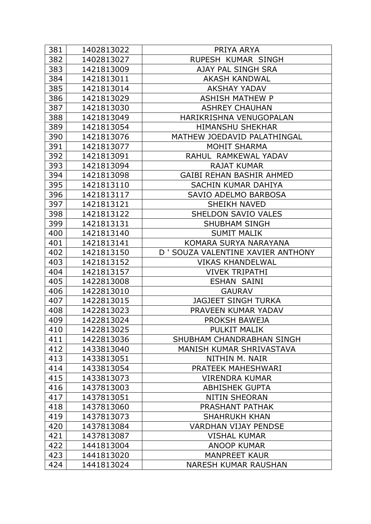| 381 | 1402813022 | PRIYA ARYA                         |
|-----|------------|------------------------------------|
| 382 | 1402813027 | RUPESH KUMAR SINGH                 |
| 383 | 1421813009 | AJAY PAL SINGH SRA                 |
| 384 | 1421813011 | <b>AKASH KANDWAL</b>               |
| 385 | 1421813014 | <b>AKSHAY YADAV</b>                |
| 386 | 1421813029 | <b>ASHISH MATHEW P</b>             |
| 387 | 1421813030 | <b>ASHREY CHAUHAN</b>              |
| 388 | 1421813049 | HARIKRISHNA VENUGOPALAN            |
| 389 | 1421813054 | <b>HIMANSHU SHEKHAR</b>            |
| 390 | 1421813076 | MATHEW JOEDAVID PALATHINGAL        |
| 391 | 1421813077 | <b>MOHIT SHARMA</b>                |
| 392 | 1421813091 | RAHUL RAMKEWAL YADAV               |
| 393 | 1421813094 | <b>RAJAT KUMAR</b>                 |
| 394 | 1421813098 | <b>GAIBI REHAN BASHIR AHMED</b>    |
| 395 | 1421813110 | SACHIN KUMAR DAHIYA                |
| 396 | 1421813117 | SAVIO ADELMO BARBOSA               |
| 397 | 1421813121 | <b>SHEIKH NAVED</b>                |
| 398 | 1421813122 | SHELDON SAVIO VALES                |
| 399 | 1421813131 | <b>SHUBHAM SINGH</b>               |
| 400 | 1421813140 | <b>SUMIT MALIK</b>                 |
| 401 | 1421813141 | KOMARA SURYA NARAYANA              |
| 402 | 1421813150 | D ' SOUZA VALENTINE XAVIER ANTHONY |
| 403 | 1421813152 | <b>VIKAS KHANDELWAL</b>            |
| 404 | 1421813157 | <b>VIVEK TRIPATHI</b>              |
| 405 | 1422813008 | <b>ESHAN SAINI</b>                 |
| 406 | 1422813010 | <b>GAURAV</b>                      |
| 407 | 1422813015 | <b>JAGJEET SINGH TURKA</b>         |
| 408 | 1422813023 | PRAVEEN KUMAR YADAV                |
| 409 | 1422813024 | PROKSH BAWEJA                      |
| 410 | 1422813025 | <b>PULKIT MALIK</b>                |
| 411 | 1422813036 | SHUBHAM CHANDRABHAN SINGH          |
| 412 | 1433813040 | MANISH KUMAR SHRIVASTAVA           |
| 413 | 1433813051 | NITHIN M. NAIR                     |
| 414 | 1433813054 | PRATEEK MAHESHWARI                 |
| 415 | 1433813073 | <b>VIRENDRA KUMAR</b>              |
| 416 | 1437813003 | <b>ABHISHEK GUPTA</b>              |
| 417 | 1437813051 | <b>NITIN SHEORAN</b>               |
| 418 | 1437813060 | PRASHANT PATHAK                    |
| 419 | 1437813073 | <b>SHAHRUKH KHAN</b>               |
| 420 | 1437813084 | <b>VARDHAN VIJAY PENDSE</b>        |
| 421 | 1437813087 | <b>VISHAL KUMAR</b>                |
| 422 | 1441813004 | <b>ANOOP KUMAR</b>                 |
| 423 | 1441813020 | <b>MANPREET KAUR</b>               |
| 424 | 1441813024 | <b>NARESH KUMAR RAUSHAN</b>        |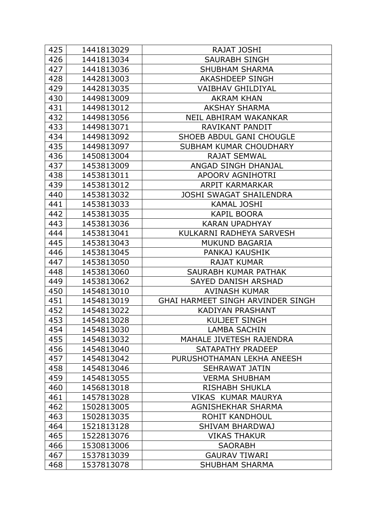| 425 | 1441813029 | RAJAT JOSHI                              |
|-----|------------|------------------------------------------|
| 426 | 1441813034 | <b>SAURABH SINGH</b>                     |
| 427 | 1441813036 | <b>SHUBHAM SHARMA</b>                    |
| 428 | 1442813003 | <b>AKASHDEEP SINGH</b>                   |
| 429 | 1442813035 | <b>VAIBHAV GHILDIYAL</b>                 |
| 430 | 1449813009 | <b>AKRAM KHAN</b>                        |
| 431 | 1449813012 | <b>AKSHAY SHARMA</b>                     |
| 432 | 1449813056 | NEIL ABHIRAM WAKANKAR                    |
| 433 | 1449813071 | RAVIKANT PANDIT                          |
| 434 | 1449813092 | SHOEB ABDUL GANI CHOUGLE                 |
| 435 | 1449813097 | SUBHAM KUMAR CHOUDHARY                   |
| 436 | 1450813004 | <b>RAJAT SEMWAL</b>                      |
| 437 | 1453813009 | ANGAD SINGH DHANJAL                      |
| 438 | 1453813011 | <b>APOORV AGNIHOTRI</b>                  |
| 439 | 1453813012 | ARPIT KARMARKAR                          |
| 440 | 1453813032 | <b>JOSHI SWAGAT SHAILENDRA</b>           |
| 441 | 1453813033 | <b>KAMAL JOSHI</b>                       |
| 442 | 1453813035 | <b>KAPIL BOORA</b>                       |
| 443 | 1453813036 | <b>KARAN UPADHYAY</b>                    |
| 444 | 1453813041 | KULKARNI RADHEYA SARVESH                 |
| 445 | 1453813043 | <b>MUKUND BAGARIA</b>                    |
| 446 | 1453813045 | PANKAJ KAUSHIK                           |
| 447 | 1453813050 | <b>RAJAT KUMAR</b>                       |
| 448 | 1453813060 | SAURABH KUMAR PATHAK                     |
| 449 | 1453813062 | <b>SAYED DANISH ARSHAD</b>               |
| 450 | 1454813010 | <b>AVINASH KUMAR</b>                     |
| 451 | 1454813019 | <b>GHAI HARMEET SINGH ARVINDER SINGH</b> |
| 452 | 1454813022 | <b>KADIYAN PRASHANT</b>                  |
| 453 | 1454813028 | <b>KULJEET SINGH</b>                     |
| 454 | 1454813030 | <b>LAMBA SACHIN</b>                      |
| 455 | 1454813032 | MAHALE JIVETESH RAJENDRA                 |
| 456 | 1454813040 | SATAPATHY PRADEEP                        |
| 457 | 1454813042 | PURUSHOTHAMAN LEKHA ANEESH               |
| 458 | 1454813046 | <b>SEHRAWAT JATIN</b>                    |
| 459 | 1454813055 | <b>VERMA SHUBHAM</b>                     |
| 460 | 1456813018 | <b>RISHABH SHUKLA</b>                    |
| 461 | 1457813028 | <b>VIKAS KUMAR MAURYA</b>                |
| 462 | 1502813005 | AGNISHEKHAR SHARMA                       |
| 463 | 1502813035 | <b>ROHIT KANDHOUL</b>                    |
| 464 | 1521813128 | <b>SHIVAM BHARDWAJ</b>                   |
| 465 | 1522813076 | <b>VIKAS THAKUR</b>                      |
| 466 | 1530813006 | <b>SAORABH</b>                           |
| 467 | 1537813039 | <b>GAURAV TIWARI</b>                     |
| 468 | 1537813078 | <b>SHUBHAM SHARMA</b>                    |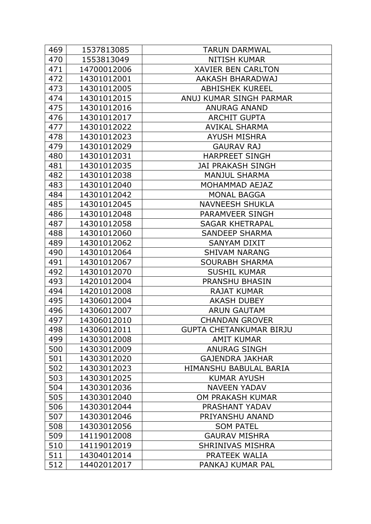| 469 | 1537813085  | <b>TARUN DARMWAL</b>           |
|-----|-------------|--------------------------------|
| 470 | 1553813049  | <b>NITISH KUMAR</b>            |
| 471 | 14700012006 | <b>XAVIER BEN CARLTON</b>      |
| 472 | 14301012001 | AAKASH BHARADWAJ               |
| 473 | 14301012005 | <b>ABHISHEK KUREEL</b>         |
| 474 | 14301012015 | ANUJ KUMAR SINGH PARMAR        |
| 475 | 14301012016 | <b>ANURAG ANAND</b>            |
| 476 | 14301012017 | <b>ARCHIT GUPTA</b>            |
| 477 | 14301012022 | <b>AVIKAL SHARMA</b>           |
| 478 | 14301012023 | <b>AYUSH MISHRA</b>            |
| 479 | 14301012029 | <b>GAURAV RAJ</b>              |
| 480 | 14301012031 | <b>HARPREET SINGH</b>          |
| 481 | 14301012035 | <b>JAI PRAKASH SINGH</b>       |
| 482 | 14301012038 | <b>MANJUL SHARMA</b>           |
| 483 | 14301012040 | MOHAMMAD AEJAZ                 |
| 484 | 14301012042 | <b>MONAL BAGGA</b>             |
| 485 | 14301012045 | <b>NAVNEESH SHUKLA</b>         |
| 486 | 14301012048 | PARAMVEER SINGH                |
| 487 | 14301012058 | <b>SAGAR KHETRAPAL</b>         |
| 488 | 14301012060 | <b>SANDEEP SHARMA</b>          |
| 489 | 14301012062 | <b>SANYAM DIXIT</b>            |
| 490 | 14301012064 | <b>SHIVAM NARANG</b>           |
| 491 | 14301012067 | <b>SOURABH SHARMA</b>          |
| 492 | 14301012070 | <b>SUSHIL KUMAR</b>            |
| 493 | 14201012004 | <b>PRANSHU BHASIN</b>          |
| 494 | 14201012008 | <b>RAJAT KUMAR</b>             |
| 495 | 14306012004 | <b>AKASH DUBEY</b>             |
| 496 | 14306012007 | <b>ARUN GAUTAM</b>             |
| 497 | 14306012010 | <b>CHANDAN GROVER</b>          |
| 498 | 14306012011 | <b>GUPTA CHETANKUMAR BIRJU</b> |
| 499 | 14303012008 | <b>AMIT KUMAR</b>              |
| 500 | 14303012009 | <b>ANURAG SINGH</b>            |
| 501 | 14303012020 | <b>GAJENDRA JAKHAR</b>         |
| 502 | 14303012023 | HIMANSHU BABULAL BARIA         |
| 503 | 14303012025 | <b>KUMAR AYUSH</b>             |
| 504 | 14303012036 | <b>NAVEEN YADAV</b>            |
| 505 | 14303012040 | <b>OM PRAKASH KUMAR</b>        |
| 506 | 14303012044 | PRASHANT YADAV                 |
| 507 | 14303012046 | PRIYANSHU ANAND                |
| 508 | 14303012056 | <b>SOM PATEL</b>               |
| 509 | 14119012008 | <b>GAURAV MISHRA</b>           |
| 510 | 14119012019 | <b>SHRINIVAS MISHRA</b>        |
| 511 | 14304012014 | PRATEEK WALIA                  |
| 512 | 14402012017 | PANKAJ KUMAR PAL               |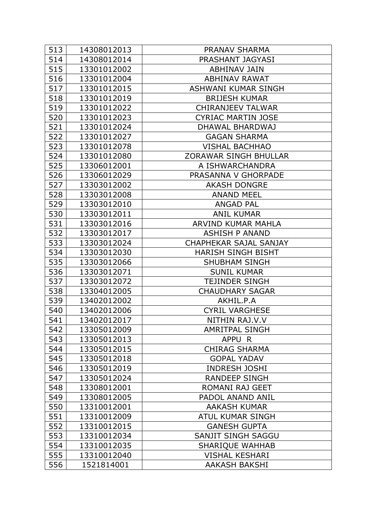| 513 | 14308012013 | PRANAV SHARMA                 |
|-----|-------------|-------------------------------|
| 514 | 14308012014 | PRASHANT JAGYASI              |
| 515 | 13301012002 | <b>ABHINAV JAIN</b>           |
| 516 | 13301012004 | <b>ABHINAV RAWAT</b>          |
| 517 | 13301012015 | <b>ASHWANI KUMAR SINGH</b>    |
| 518 | 13301012019 | <b>BRIJESH KUMAR</b>          |
| 519 | 13301012022 | <b>CHIRANJEEV TALWAR</b>      |
| 520 | 13301012023 | <b>CYRIAC MARTIN JOSE</b>     |
| 521 | 13301012024 | DHAWAL BHARDWAJ               |
| 522 | 13301012027 | <b>GAGAN SHARMA</b>           |
| 523 | 13301012078 | <b>VISHAL BACHHAO</b>         |
| 524 | 13301012080 | <b>ZORAWAR SINGH BHULLAR</b>  |
| 525 | 13306012001 | A ISHWARCHANDRA               |
| 526 | 13306012029 | PRASANNA V GHORPADE           |
| 527 | 13303012002 | <b>AKASH DONGRE</b>           |
| 528 | 13303012008 | <b>ANAND MEEL</b>             |
| 529 | 13303012010 | <b>ANGAD PAL</b>              |
| 530 | 13303012011 | <b>ANIL KUMAR</b>             |
| 531 | 13303012016 | ARVIND KUMAR MAHLA            |
| 532 | 13303012017 | <b>ASHISH P ANAND</b>         |
| 533 | 13303012024 | <b>CHAPHEKAR SAJAL SANJAY</b> |
| 534 | 13303012030 | <b>HARISH SINGH BISHT</b>     |
| 535 | 13303012066 | <b>SHUBHAM SINGH</b>          |
| 536 | 13303012071 | <b>SUNIL KUMAR</b>            |
| 537 | 13303012072 | <b>TEJINDER SINGH</b>         |
| 538 | 13304012005 | <b>CHAUDHARY SAGAR</b>        |
| 539 | 13402012002 | AKHIL.P.A                     |
| 540 | 13402012006 | <b>CYRIL VARGHESE</b>         |
| 541 | 13402012017 | NITHIN RAJ.V.V                |
| 542 | 13305012009 | <b>AMRITPAL SINGH</b>         |
| 543 | 13305012013 | APPU R                        |
| 544 | 13305012015 | <b>CHIRAG SHARMA</b>          |
| 545 | 13305012018 | <b>GOPAL YADAV</b>            |
| 546 | 13305012019 | <b>INDRESH JOSHI</b>          |
| 547 | 13305012024 | <b>RANDEEP SINGH</b>          |
| 548 | 13308012001 | <b>ROMANI RAJ GEET</b>        |
| 549 | 13308012005 | PADOL ANAND ANIL              |
| 550 | 13310012001 | <b>AAKASH KUMAR</b>           |
| 551 | 13310012009 | <b>ATUL KUMAR SINGH</b>       |
| 552 | 13310012015 | <b>GANESH GUPTA</b>           |
| 553 | 13310012034 | SANJIT SINGH SAGGU            |
| 554 | 13310012035 | <b>SHARIQUE WAHHAB</b>        |
| 555 | 13310012040 | <b>VISHAL KESHARI</b>         |
| 556 | 1521814001  | <b>AAKASH BAKSHI</b>          |